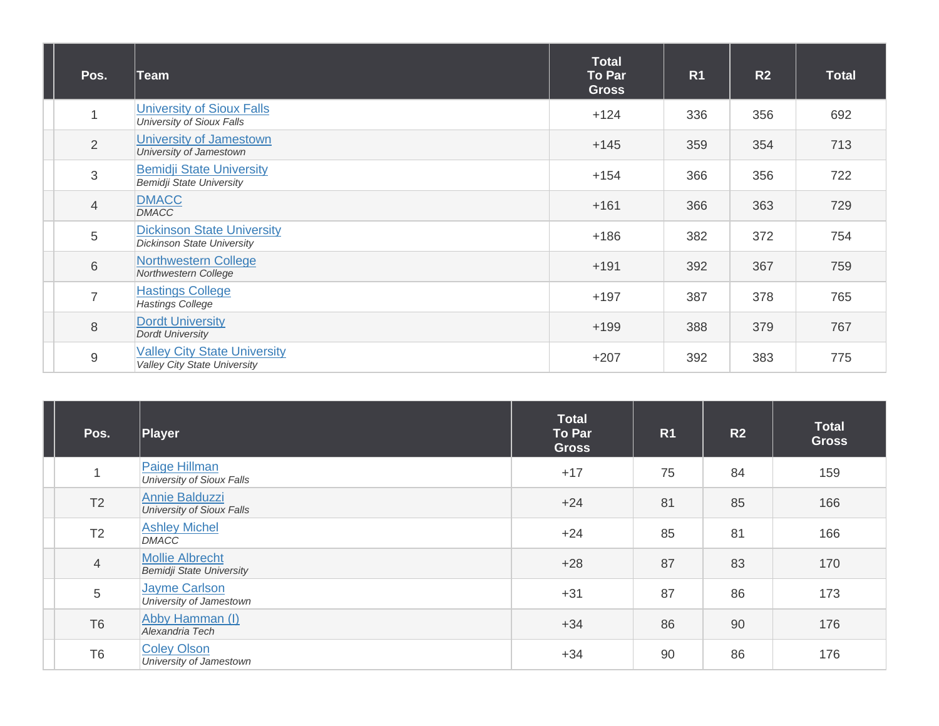| Pos.            | <b>Team</b>                                                                | <b>Total</b><br>To Par<br><b>Gross</b> | R <sub>1</sub> | R <sub>2</sub> | <b>Total</b> |
|-----------------|----------------------------------------------------------------------------|----------------------------------------|----------------|----------------|--------------|
| 1               | <b>University of Sioux Falls</b><br>University of Sioux Falls              | $+124$                                 | 336            | 356            | 692          |
| $\overline{2}$  | University of Jamestown<br>University of Jamestown                         | $+145$                                 | 359            | 354            | 713          |
| 3               | <b>Bemidji State University</b><br><b>Bemidji State University</b>         | $+154$                                 | 366            | 356            | 722          |
| $\overline{4}$  | <b>DMACC</b><br><b>DMACC</b>                                               | $+161$                                 | 366            | 363            | 729          |
| $\sqrt{5}$      | <b>Dickinson State University</b><br><b>Dickinson State University</b>     | $+186$                                 | 382            | 372            | 754          |
| $6\phantom{1}6$ | <b>Northwestern College</b><br>Northwestern College                        | $+191$                                 | 392            | 367            | 759          |
| $\overline{7}$  | <b>Hastings College</b><br><b>Hastings College</b>                         | $+197$                                 | 387            | 378            | 765          |
| 8               | <b>Dordt University</b><br><b>Dordt University</b>                         | $+199$                                 | 388            | 379            | 767          |
| $\overline{9}$  | <b>Valley City State University</b><br><b>Valley City State University</b> | $+207$                                 | 392            | 383            | 775          |

| Pos.           | Player                                                    | <b>Total</b><br>To Par<br><b>Gross</b> | R <sub>1</sub> | R2 | <b>Total</b><br><b>Gross</b> |
|----------------|-----------------------------------------------------------|----------------------------------------|----------------|----|------------------------------|
| $\mathbf{1}$   | Paige Hillman<br>University of Sioux Falls                | $+17$                                  | 75             | 84 | 159                          |
| T2             | Annie Balduzzi<br>University of Sioux Falls               | $+24$                                  | 81             | 85 | 166                          |
| T <sub>2</sub> | <b>Ashley Michel</b><br><b>DMACC</b>                      | $+24$                                  | 85             | 81 | 166                          |
| $\overline{4}$ | <b>Mollie Albrecht</b><br><b>Bemidji State University</b> | $+28$                                  | 87             | 83 | 170                          |
| 5              | Jayme Carlson<br>University of Jamestown                  | $+31$                                  | 87             | 86 | 173                          |
| T <sub>6</sub> | Abby Hamman (I)<br>Alexandria Tech                        | $+34$                                  | 86             | 90 | 176                          |
| T <sub>6</sub> | <b>Coley Olson</b><br>University of Jamestown             | $+34$                                  | 90             | 86 | 176                          |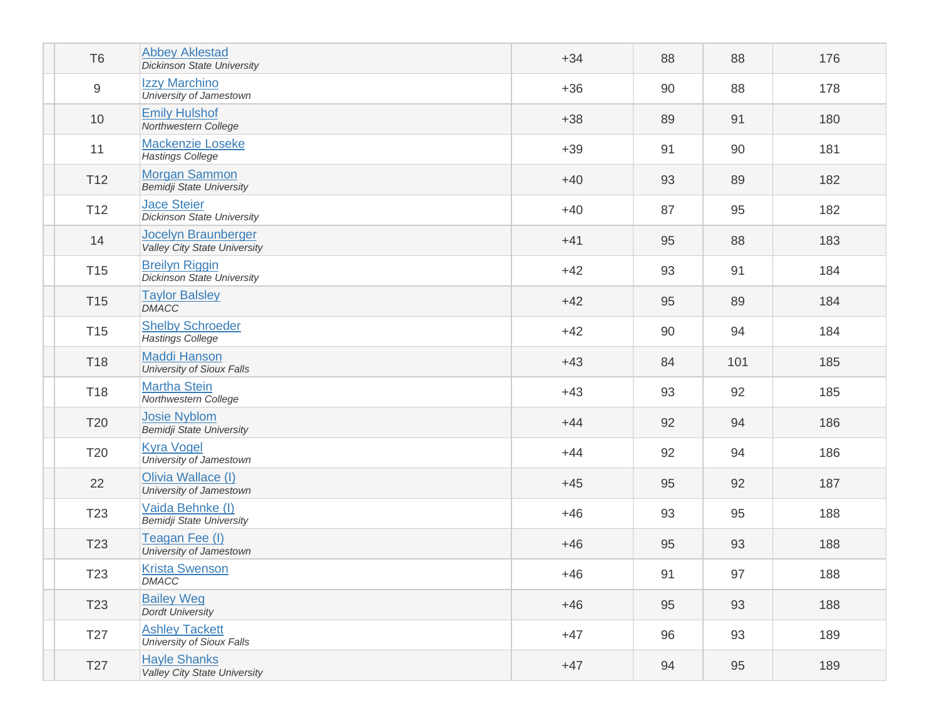| T <sub>6</sub>  | <b>Abbey Aklestad</b><br><b>Dickinson State University</b>        | $+34$ | 88 | 88  | 176 |
|-----------------|-------------------------------------------------------------------|-------|----|-----|-----|
| 9               | Izzy Marchino<br>University of Jamestown                          | $+36$ | 90 | 88  | 178 |
| 10              | <b>Emily Hulshof</b><br>Northwestern College                      | $+38$ | 89 | 91  | 180 |
| 11              | <b>Mackenzie Loseke</b><br><b>Hastings College</b>                | $+39$ | 91 | 90  | 181 |
| T <sub>12</sub> | <b>Morgan Sammon</b><br><b>Bemidji State University</b>           | $+40$ | 93 | 89  | 182 |
| T <sub>12</sub> | <b>Jace Steier</b><br><b>Dickinson State University</b>           | $+40$ | 87 | 95  | 182 |
| 14              | <b>Jocelyn Braunberger</b><br><b>Valley City State University</b> | $+41$ | 95 | 88  | 183 |
| T <sub>15</sub> | <b>Breilyn Riggin</b><br><b>Dickinson State University</b>        | $+42$ | 93 | 91  | 184 |
| T <sub>15</sub> | <b>Taylor Balsley</b><br><b>DMACC</b>                             | $+42$ | 95 | 89  | 184 |
| T <sub>15</sub> | <b>Shelby Schroeder</b><br><b>Hastings College</b>                | $+42$ | 90 | 94  | 184 |
| T18             | <b>Maddi Hanson</b><br><b>University of Sioux Falls</b>           | $+43$ | 84 | 101 | 185 |
| T18             | <b>Martha Stein</b><br>Northwestern College                       | $+43$ | 93 | 92  | 185 |
| <b>T20</b>      | <b>Josie Nyblom</b><br><b>Bemidji State University</b>            | $+44$ | 92 | 94  | 186 |
| T20             | <b>Kyra Vogel</b><br>University of Jamestown                      | $+44$ | 92 | 94  | 186 |
| 22              | Olivia Wallace (I)<br>University of Jamestown                     | $+45$ | 95 | 92  | 187 |
| T <sub>23</sub> | Vaida Behnke (I)<br><b>Bemidji State University</b>               | $+46$ | 93 | 95  | 188 |
| T <sub>23</sub> | Teagan Fee (I)<br>University of Jamestown                         | $+46$ | 95 | 93  | 188 |
| T23             | <b>Krista Swenson</b><br>DMACC                                    | $+46$ | 91 | 97  | 188 |
| T <sub>23</sub> | <b>Bailey Weg</b><br><b>Dordt University</b>                      | $+46$ | 95 | 93  | 188 |
| T <sub>27</sub> | <b>Ashley Tackett</b><br>University of Sioux Falls                | $+47$ | 96 | 93  | 189 |
| T <sub>27</sub> | <b>Hayle Shanks</b><br><b>Valley City State University</b>        | $+47$ | 94 | 95  | 189 |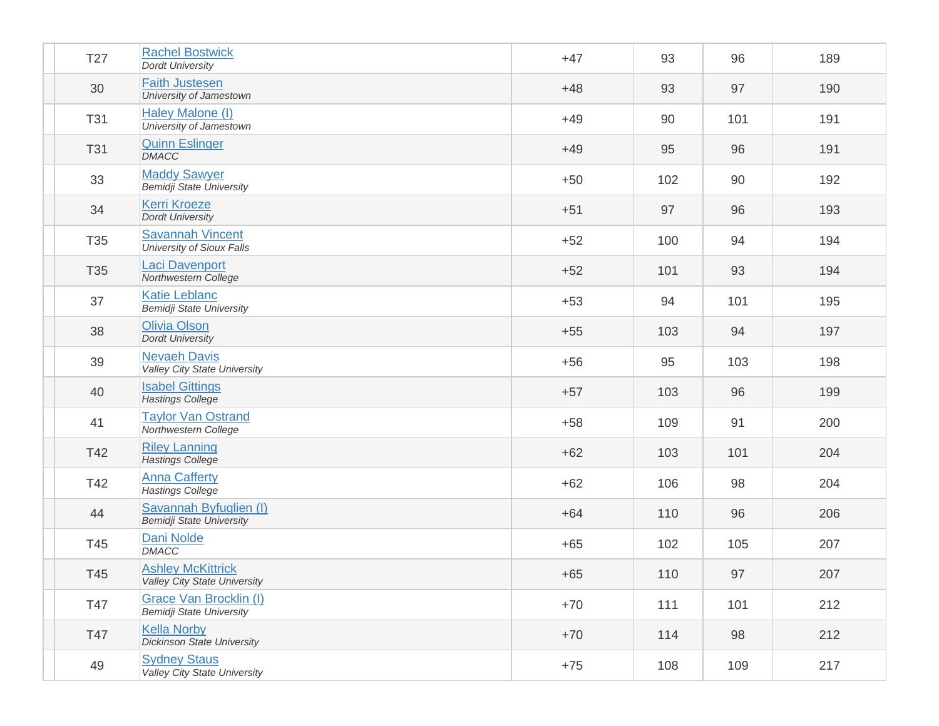| T27        | <b>Rachel Bostwick</b><br><b>Dordt University</b>               | $+47$ | 93  | 96  | 189 |
|------------|-----------------------------------------------------------------|-------|-----|-----|-----|
| 30         | <b>Faith Justesen</b><br>University of Jamestown                | $+48$ | 93  | 97  | 190 |
| <b>T31</b> | Haley Malone (I)<br>University of Jamestown                     | $+49$ | 90  | 101 | 191 |
| <b>T31</b> | <b>Quinn Eslinger</b><br><b>DMACC</b>                           | $+49$ | 95  | 96  | 191 |
| 33         | <b>Maddy Sawyer</b><br><b>Bemidji State University</b>          | $+50$ | 102 | 90  | 192 |
| 34         | <b>Kerri Kroeze</b><br><b>Dordt University</b>                  | $+51$ | 97  | 96  | 193 |
| T35        | <b>Savannah Vincent</b><br><b>University of Sioux Falls</b>     | $+52$ | 100 | 94  | 194 |
| T35        | <b>Laci Davenport</b><br>Northwestern College                   | $+52$ | 101 | 93  | 194 |
| 37         | <b>Katie Leblanc</b><br><b>Bemidji State University</b>         | $+53$ | 94  | 101 | 195 |
| 38         | Olivia Olson<br><b>Dordt University</b>                         | $+55$ | 103 | 94  | 197 |
| 39         | <b>Nevaeh Davis</b><br><b>Valley City State University</b>      | $+56$ | 95  | 103 | 198 |
| 40         | <b>Isabel Gittings</b><br><b>Hastings College</b>               | $+57$ | 103 | 96  | 199 |
| 41         | <b>Taylor Van Ostrand</b><br>Northwestern College               | $+58$ | 109 | 91  | 200 |
| T42        | <b>Riley Lanning</b><br>Hastings College                        | $+62$ | 103 | 101 | 204 |
| T42        | <b>Anna Cafferty</b><br><b>Hastings College</b>                 | $+62$ | 106 | 98  | 204 |
| 44         | Savannah Byfuglien (I)<br><b>Bemidji State University</b>       | $+64$ | 110 | 96  | 206 |
| T45        | Dani Nolde<br><b>DMACC</b>                                      | $+65$ | 102 | 105 | 207 |
| T45        | <b>Ashley McKittrick</b><br><b>Valley City State University</b> | $+65$ | 110 | 97  | 207 |
| T47        | Grace Van Brocklin (I)<br><b>Bemidji State University</b>       | $+70$ | 111 | 101 | 212 |
| T47        | <b>Kella Norby</b><br><b>Dickinson State University</b>         | $+70$ | 114 | 98  | 212 |
| 49         | <b>Sydney Staus</b><br>Valley City State University             | $+75$ | 108 | 109 | 217 |